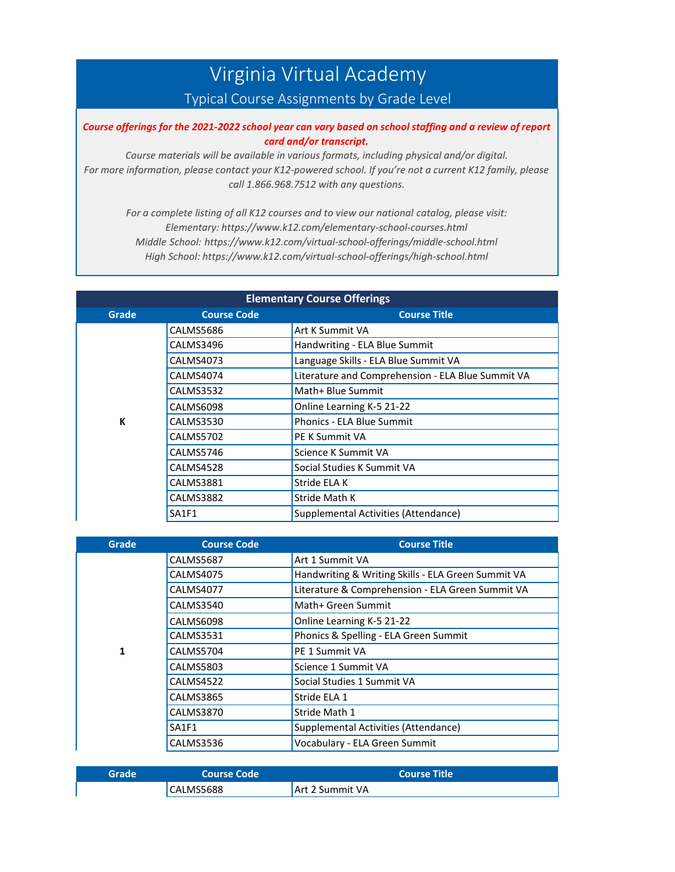## Virginia Virtual Academy

## Typical Course Assignments by Grade Level

## Course offerings for the 2021-2022 school year can vary based on school staffing and a review of report *card and/or transcript.*

*Course materials will be available in various formats, including physical and/or digital. For more information, please contact your K12-powered school. If you're not a current K12 family, please call 1.866.968.7512 with any questions.*

*For a complete listing of all K12 courses and to view our national catalog, please visit: Elementary: https:[//www.k12.com/elementary-school-courses.html](http://www.k12.com/elementary-school-courses.html) Middle School: https:[//www.k12.com/virtual-school-offerings/middle-school.html](http://www.k12.com/virtual-school-offerings/middle-school.html) High School: https:[//www.k12.com/virtual-school-offerings/high-school.html](http://www.k12.com/virtual-school-offerings/high-school.html)*

| <b>Elementary Course Offerings</b> |                    |                                                   |
|------------------------------------|--------------------|---------------------------------------------------|
| Grade                              | <b>Course Code</b> | <b>Course Title</b>                               |
|                                    | CALMS5686          | Art K Summit VA                                   |
|                                    | CALMS3496          | Handwriting - ELA Blue Summit                     |
|                                    | CALMS4073          | Language Skills - ELA Blue Summit VA              |
|                                    | CALMS4074          | Literature and Comprehension - ELA Blue Summit VA |
|                                    | CALMS3532          | Math+ Blue Summit                                 |
|                                    | CALMS6098          | Online Learning K-5 21-22                         |
| К                                  | CALMS3530          | <b>Phonics - ELA Blue Summit</b>                  |
|                                    | CALMS5702          | PE K Summit VA                                    |
|                                    | CALMS5746          | Science K Summit VA                               |
|                                    | CALMS4528          | Social Studies K Summit VA                        |
|                                    | <b>CALMS3881</b>   | Stride ELA K                                      |
|                                    | CALMS3882          | Stride Math K                                     |
|                                    | <b>SA1F1</b>       | Supplemental Activities (Attendance)              |

| <b>Grade</b> | <b>Course Code</b> | <b>Course Title</b>                                |
|--------------|--------------------|----------------------------------------------------|
|              | <b>CALMS5687</b>   | Art 1 Summit VA                                    |
|              | CALMS4075          | Handwriting & Writing Skills - ELA Green Summit VA |
|              | CALMS4077          | Literature & Comprehension - ELA Green Summit VA   |
|              | CALMS3540          | Math+ Green Summit                                 |
|              | CALMS6098          | Online Learning K-5 21-22                          |
|              | CALMS3531          | Phonics & Spelling - ELA Green Summit              |
| 1            | CALMS5704          | PE 1 Summit VA                                     |
|              | CALMS5803          | Science 1 Summit VA                                |
|              | CALMS4522          | Social Studies 1 Summit VA                         |
|              | CALMS3865          | Stride ELA 1                                       |
|              | CALMS3870          | Stride Math 1                                      |
|              | SA1F1              | Supplemental Activities (Attendance)               |
|              | CALMS3536          | Vocabulary - ELA Green Summit                      |

| Grade | Course Code | <b>Course Title</b> |
|-------|-------------|---------------------|
|       | CALMS5688   | Art 2 Summit VA     |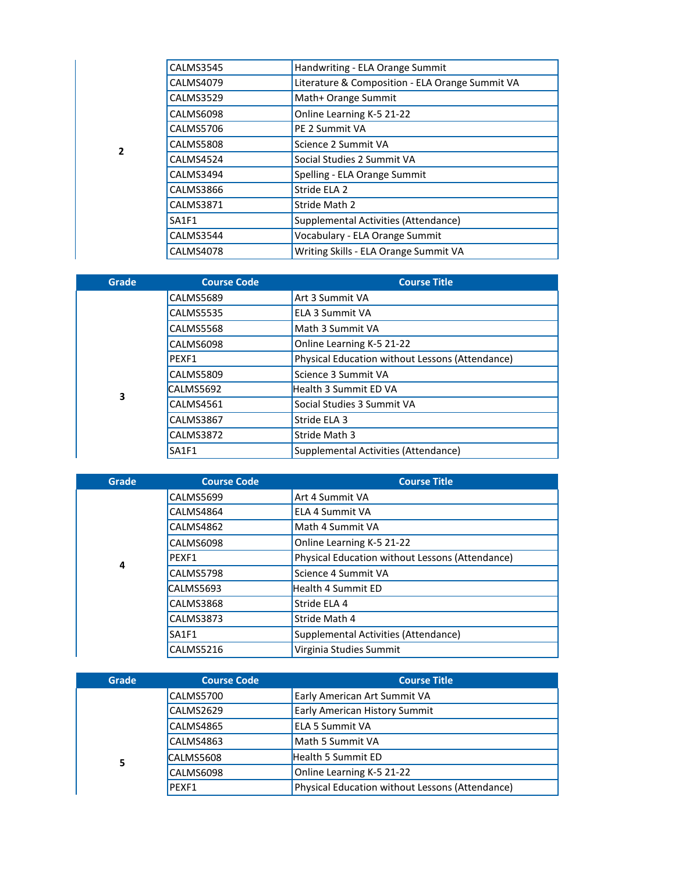| <b>CALMS3545</b> | Handwriting - ELA Orange Summit                 |
|------------------|-------------------------------------------------|
| <b>CALMS4079</b> | Literature & Composition - ELA Orange Summit VA |
| <b>CALMS3529</b> | Math+ Orange Summit                             |
| CALMS6098        | Online Learning K-5 21-22                       |
| <b>CALMS5706</b> | PE 2 Summit VA                                  |
| <b>CALMS5808</b> | Science 2 Summit VA                             |
| CALMS4524        | Social Studies 2 Summit VA                      |
| CALMS3494        | Spelling - ELA Orange Summit                    |
| CALMS3866        | Stride ELA 2                                    |
| <b>CALMS3871</b> | Stride Math 2                                   |
| SA1F1            | Supplemental Activities (Attendance)            |
| CALMS3544        | Vocabulary - ELA Orange Summit                  |
| CALMS4078        | Writing Skills - ELA Orange Summit VA           |
|                  |                                                 |

**2**

| Grade | <b>Course Code</b> | <b>Course Title</b>                             |
|-------|--------------------|-------------------------------------------------|
|       | <b>CALMS5689</b>   | Art 3 Summit VA                                 |
|       | <b>CALMS5535</b>   | ELA 3 Summit VA                                 |
|       | CALMS5568          | Math 3 Summit VA                                |
|       | CALMS6098          | Online Learning K-5 21-22                       |
|       | PEXF1              | Physical Education without Lessons (Attendance) |
|       | <b>CALMS5809</b>   | Science 3 Summit VA                             |
| 3     | CALMS5692          | <b>Health 3 Summit ED VA</b>                    |
|       | CALMS4561          | Social Studies 3 Summit VA                      |
|       | <b>CALMS3867</b>   | Stride ELA 3                                    |
|       | <b>CALMS3872</b>   | Stride Math 3                                   |
|       | <b>SA1F1</b>       | Supplemental Activities (Attendance)            |

| Grade | <b>Course Code</b> | <b>Course Title</b>                             |
|-------|--------------------|-------------------------------------------------|
|       | CALMS5699          | Art 4 Summit VA                                 |
|       | CALMS4864          | ELA 4 Summit VA                                 |
|       | CALMS4862          | Math 4 Summit VA                                |
|       | CALMS6098          | Online Learning K-5 21-22                       |
| 4     | PEXF1              | Physical Education without Lessons (Attendance) |
|       | CALMS5798          | Science 4 Summit VA                             |
|       | CALMS5693          | <b>Health 4 Summit ED</b>                       |
|       | CALMS3868          | Stride ELA 4                                    |
|       | CALMS3873          | Stride Math 4                                   |
|       | SA1F1              | Supplemental Activities (Attendance)            |
|       | CALMS5216          | Virginia Studies Summit                         |

| Grade | <b>Course Code</b> | <b>Course Title</b>                             |
|-------|--------------------|-------------------------------------------------|
|       | CALMS5700          | Early American Art Summit VA                    |
|       | CALMS2629          | <b>Early American History Summit</b>            |
|       | CALMS4865          | <b>ELA 5 Summit VA</b>                          |
|       | CALMS4863          | Math 5 Summit VA                                |
| 5     | CALMS5608          | <b>Health 5 Summit ED</b>                       |
|       | CALMS6098          | Online Learning K-5 21-22                       |
|       | PEXF1              | Physical Education without Lessons (Attendance) |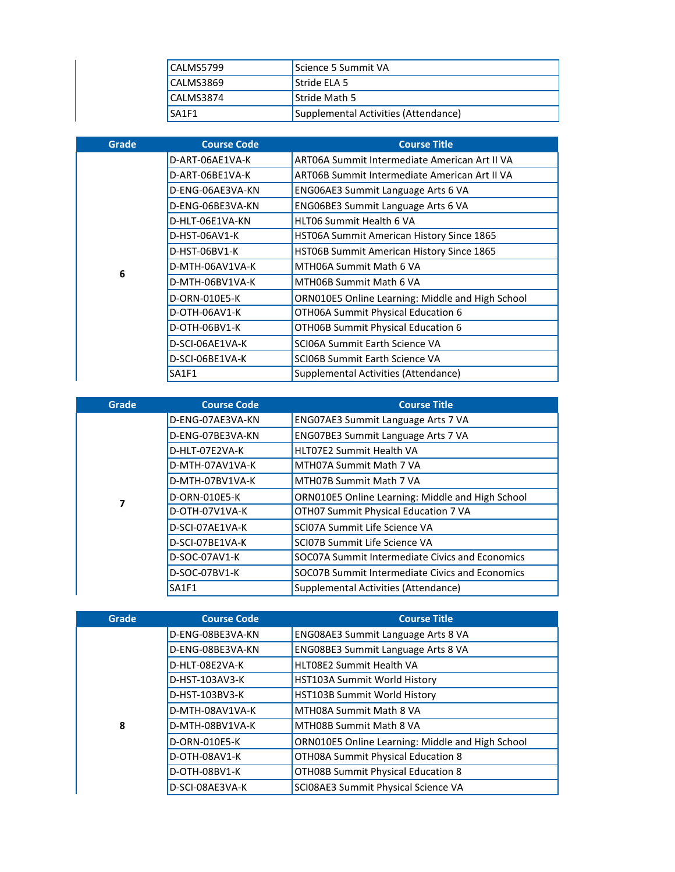| CALMS5799 | Science 5 Summit VA                  |
|-----------|--------------------------------------|
| CALMS3869 | Stride ELA 5                         |
| CALMS3874 | <b>Stride Math 5</b>                 |
| SA1F1     | Supplemental Activities (Attendance) |

| Grade | <b>Course Code</b> | <b>Course Title</b>                              |
|-------|--------------------|--------------------------------------------------|
|       | D-ART-06AE1VA-K    | ART06A Summit Intermediate American Art II VA    |
|       | D-ART-06BE1VA-K    | ART06B Summit Intermediate American Art II VA    |
|       | D-ENG-06AE3VA-KN   | ENG06AE3 Summit Language Arts 6 VA               |
|       | D-ENG-06BE3VA-KN   | ENG06BE3 Summit Language Arts 6 VA               |
|       | D-HLT-06E1VA-KN    | <b>HLT06 Summit Health 6 VA</b>                  |
|       | D-HST-06AV1-K      | HST06A Summit American History Since 1865        |
|       | D-HST-06BV1-K      | HST06B Summit American History Since 1865        |
| 6     | D-MTH-06AV1VA-K    | MTH06A Summit Math 6 VA                          |
|       | D-MTH-06BV1VA-K    | MTH06B Summit Math 6 VA                          |
|       | D-ORN-010E5-K      | ORN010E5 Online Learning: Middle and High School |
|       | D-OTH-06AV1-K      | OTH06A Summit Physical Education 6               |
|       | D-OTH-06BV1-K      | OTHO6B Summit Physical Education 6               |
|       | D-SCI-06AE1VA-K    | SCI06A Summit Earth Science VA                   |
|       | D-SCI-06BE1VA-K    | SCI06B Summit Earth Science VA                   |
|       | SA1F1              | Supplemental Activities (Attendance)             |

| Grade | <b>Course Code</b> | <b>Course Title</b>                              |
|-------|--------------------|--------------------------------------------------|
|       | D-ENG-07AE3VA-KN   | ENG07AE3 Summit Language Arts 7 VA               |
|       | D-ENG-07BE3VA-KN   | ENG07BE3 Summit Language Arts 7 VA               |
|       | D-HLT-07E2VA-K     | <b>HLT07E2 Summit Health VA</b>                  |
|       | D-MTH-07AV1VA-K    | MTH07A Summit Math 7 VA                          |
|       | D-MTH-07BV1VA-K    | MTH07B Summit Math 7 VA                          |
| 7     | D-ORN-010E5-K      | ORN010E5 Online Learning: Middle and High School |
|       | D-OTH-07V1VA-K     | OTH07 Summit Physical Education 7 VA             |
|       | D-SCI-07AE1VA-K    | SCI07A Summit Life Science VA                    |
|       | D-SCI-07BE1VA-K    | SCI07B Summit Life Science VA                    |
|       | D-SOC-07AV1-K      | SOC07A Summit Intermediate Civics and Economics  |
|       | D-SOC-07BV1-K      | SOC07B Summit Intermediate Civics and Economics  |
|       | SA1F1              | Supplemental Activities (Attendance)             |

| <b>Grade</b> | <b>Course Code</b> | <b>Course Title</b>                              |
|--------------|--------------------|--------------------------------------------------|
|              | D-ENG-08BE3VA-KN   | ENG08AE3 Summit Language Arts 8 VA               |
|              | D-ENG-08BE3VA-KN   | ENG08BE3 Summit Language Arts 8 VA               |
|              | D-HLT-08E2VA-K     | <b>HLT08E2 Summit Health VA</b>                  |
|              | D-HST-103AV3-K     | <b>HST103A Summit World History</b>              |
|              | D-HST-103BV3-K     | HST103B Summit World History                     |
|              | D-MTH-08AV1VA-K    | MTH08A Summit Math 8 VA                          |
| 8            | D-MTH-08BV1VA-K    | MTH08B Summit Math 8 VA                          |
|              | D-ORN-010E5-K      | ORN010E5 Online Learning: Middle and High School |
|              | D-OTH-08AV1-K      | OTH08A Summit Physical Education 8               |
|              | D-OTH-08BV1-K      | OTH08B Summit Physical Education 8               |
|              | D-SCI-08AE3VA-K    | SCI08AE3 Summit Physical Science VA              |